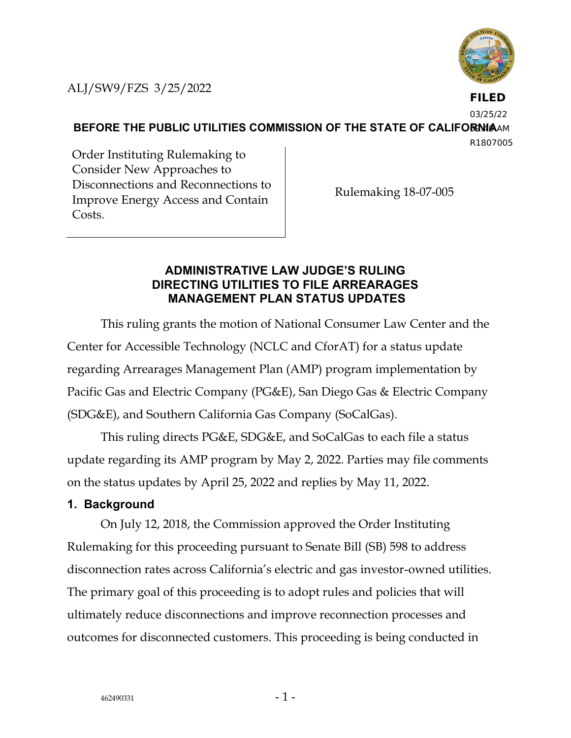

**FILED**

03/25/22

**BEFORE THE PUBLIC UTILITIES COMMISSION OF THE STATE OF CALIFORNIAAM** 

R1807005

Order Instituting Rulemaking to Consider New Approaches to Disconnections and Reconnections to Improve Energy Access and Contain Costs.

Rulemaking 18-07-005

## **ADMINISTRATIVE LAW JUDGE'S RULING DIRECTING UTILITIES TO FILE ARREARAGES MANAGEMENT PLAN STATUS UPDATES**

This ruling grants the motion of National Consumer Law Center and the Center for Accessible Technology (NCLC and CforAT) for a status update regarding Arrearages Management Plan (AMP) program implementation by Pacific Gas and Electric Company (PG&E), San Diego Gas & Electric Company (SDG&E), and Southern California Gas Company (SoCalGas).

This ruling directs PG&E, SDG&E, and SoCalGas to each file a status update regarding its AMP program by May 2, 2022. Parties may file comments on the status updates by April 25, 2022 and replies by May 11, 2022.

## **1. Background**

On July 12, 2018, the Commission approved the Order Instituting Rulemaking for this proceeding pursuant to Senate Bill (SB) 598 to address disconnection rates across California's electric and gas investor-owned utilities. The primary goal of this proceeding is to adopt rules and policies that will ultimately reduce disconnections and improve reconnection processes and outcomes for disconnected customers. This proceeding is being conducted in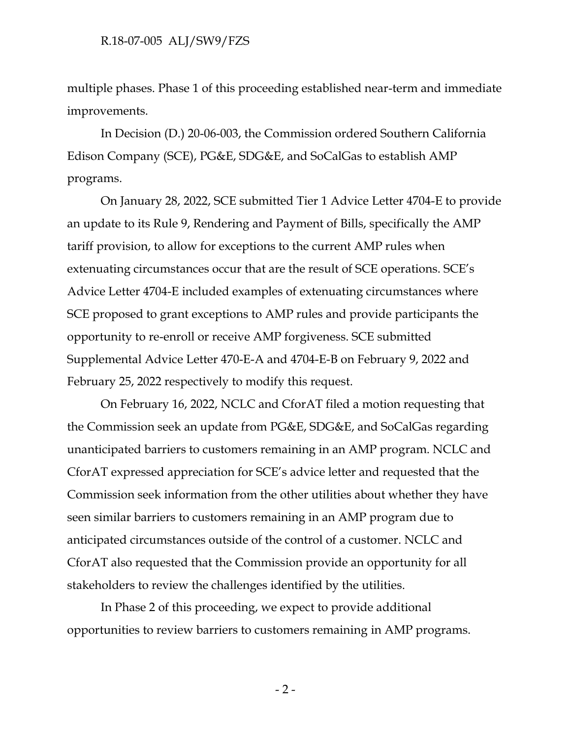multiple phases. Phase 1 of this proceeding established near-term and immediate improvements.

In Decision (D.) 20-06-003, the Commission ordered Southern California Edison Company (SCE), PG&E, SDG&E, and SoCalGas to establish AMP programs.

On January 28, 2022, SCE submitted Tier 1 Advice Letter 4704-E to provide an update to its Rule 9, Rendering and Payment of Bills, specifically the AMP tariff provision, to allow for exceptions to the current AMP rules when extenuating circumstances occur that are the result of SCE operations. SCE's Advice Letter 4704-E included examples of extenuating circumstances where SCE proposed to grant exceptions to AMP rules and provide participants the opportunity to re-enroll or receive AMP forgiveness. SCE submitted Supplemental Advice Letter 470-E-A and 4704-E-B on February 9, 2022 and February 25, 2022 respectively to modify this request.

On February 16, 2022, NCLC and CforAT filed a motion requesting that the Commission seek an update from PG&E, SDG&E, and SoCalGas regarding unanticipated barriers to customers remaining in an AMP program. NCLC and CforAT expressed appreciation for SCE's advice letter and requested that the Commission seek information from the other utilities about whether they have seen similar barriers to customers remaining in an AMP program due to anticipated circumstances outside of the control of a customer. NCLC and CforAT also requested that the Commission provide an opportunity for all stakeholders to review the challenges identified by the utilities.

In Phase 2 of this proceeding, we expect to provide additional opportunities to review barriers to customers remaining in AMP programs.

 $-2-$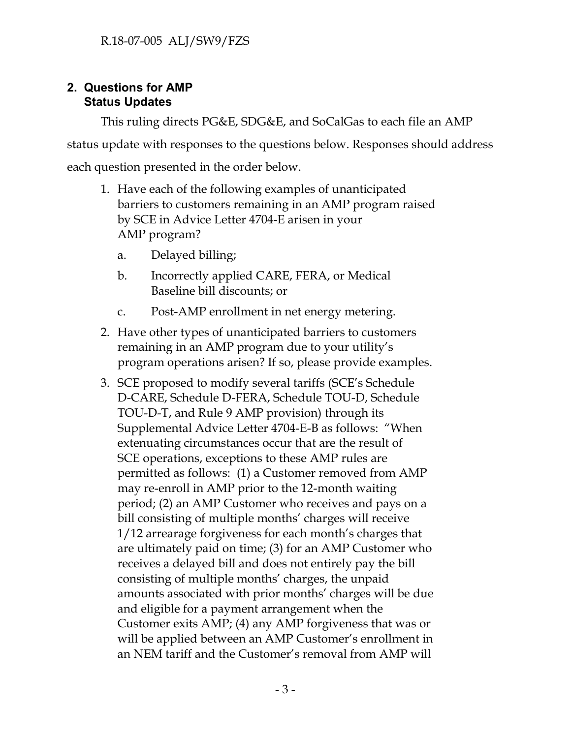## **2. Questions for AMP Status Updates**

This ruling directs PG&E, SDG&E, and SoCalGas to each file an AMP status update with responses to the questions below. Responses should address each question presented in the order below.

- 1. Have each of the following examples of unanticipated barriers to customers remaining in an AMP program raised by SCE in Advice Letter 4704-E arisen in your AMP program?
	- a. Delayed billing;
	- b. Incorrectly applied CARE, FERA, or Medical Baseline bill discounts; or
	- c. Post-AMP enrollment in net energy metering.
- 2. Have other types of unanticipated barriers to customers remaining in an AMP program due to your utility's program operations arisen? If so, please provide examples.
- 3. SCE proposed to modify several tariffs (SCE's Schedule D-CARE, Schedule D-FERA, Schedule TOU-D, Schedule TOU-D-T, and Rule 9 AMP provision) through its Supplemental Advice Letter 4704-E-B as follows: "When extenuating circumstances occur that are the result of SCE operations, exceptions to these AMP rules are permitted as follows: (1) a Customer removed from AMP may re-enroll in AMP prior to the 12-month waiting period; (2) an AMP Customer who receives and pays on a bill consisting of multiple months' charges will receive 1/12 arrearage forgiveness for each month's charges that are ultimately paid on time; (3) for an AMP Customer who receives a delayed bill and does not entirely pay the bill consisting of multiple months' charges, the unpaid amounts associated with prior months' charges will be due and eligible for a payment arrangement when the Customer exits AMP; (4) any AMP forgiveness that was or will be applied between an AMP Customer's enrollment in an NEM tariff and the Customer's removal from AMP will